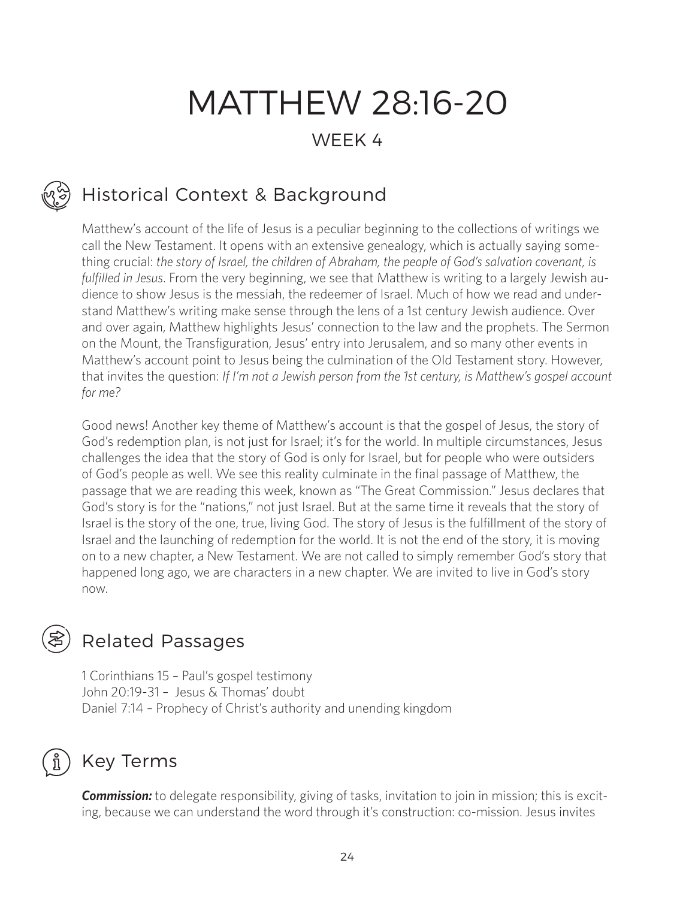# MATTHEW 28:16-20 WEEK 4

## Historical Context & Background

Matthew's account of the life of Jesus is a peculiar beginning to the collections of writings we call the New Testament. It opens with an extensive genealogy, which is actually saying something crucial: *the story of Israel, the children of Abraham, the people of God's salvation covenant, is fulfilled in Jesus*. From the very beginning, we see that Matthew is writing to a largely Jewish audience to show Jesus is the messiah, the redeemer of Israel. Much of how we read and understand Matthew's writing make sense through the lens of a 1st century Jewish audience. Over and over again, Matthew highlights Jesus' connection to the law and the prophets. The Sermon on the Mount, the Transfiguration, Jesus' entry into Jerusalem, and so many other events in Matthew's account point to Jesus being the culmination of the Old Testament story. However, that invites the question: *If I'm not a Jewish person from the 1st century, is Matthew's gospel account for me?* 

Good news! Another key theme of Matthew's account is that the gospel of Jesus, the story of God's redemption plan, is not just for Israel; it's for the world. In multiple circumstances, Jesus challenges the idea that the story of God is only for Israel, but for people who were outsiders of God's people as well. We see this reality culminate in the final passage of Matthew, the passage that we are reading this week, known as "The Great Commission." Jesus declares that God's story is for the "nations," not just Israel. But at the same time it reveals that the story of Israel is the story of the one, true, living God. The story of Jesus is the fulfillment of the story of Israel and the launching of redemption for the world. It is not the end of the story, it is moving on to a new chapter, a New Testament. We are not called to simply remember God's story that happened long ago, we are characters in a new chapter. We are invited to live in God's story now.

### Related Passages

1 Corinthians 15 – Paul's gospel testimony John 20:19-31 – Jesus & Thomas' doubt Daniel 7:14 – Prophecy of Christ's authority and unending kingdom

### Key Terms

**Commission:** to delegate responsibility, giving of tasks, invitation to join in mission; this is exciting, because we can understand the word through it's construction: co-mission. Jesus invites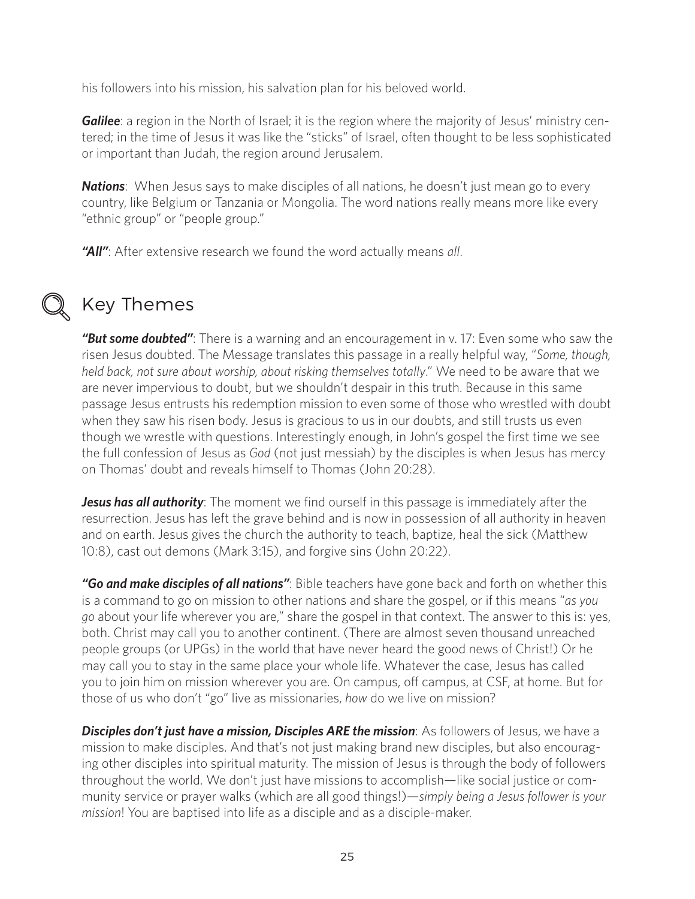his followers into his mission, his salvation plan for his beloved world.

*Galilee*: a region in the North of Israel; it is the region where the majority of Jesus' ministry centered; in the time of Jesus it was like the "sticks" of Israel, often thought to be less sophisticated or important than Judah, the region around Jerusalem.

**Nations**: When Jesus says to make disciples of all nations, he doesn't just mean go to every country, like Belgium or Tanzania or Mongolia. The word nations really means more like every "ethnic group" or "people group."

*"All"*: After extensive research we found the word actually means *all*.



### Key Themes

*"But some doubted"*: There is a warning and an encouragement in v. 17: Even some who saw the risen Jesus doubted. The Message translates this passage in a really helpful way, "*Some, though, held back, not sure about worship, about risking themselves totally*." We need to be aware that we are never impervious to doubt, but we shouldn't despair in this truth. Because in this same passage Jesus entrusts his redemption mission to even some of those who wrestled with doubt when they saw his risen body. Jesus is gracious to us in our doubts, and still trusts us even though we wrestle with questions. Interestingly enough, in John's gospel the first time we see the full confession of Jesus as *God* (not just messiah) by the disciples is when Jesus has mercy on Thomas' doubt and reveals himself to Thomas (John 20:28).

**Jesus has all authority**: The moment we find ourself in this passage is immediately after the resurrection. Jesus has left the grave behind and is now in possession of all authority in heaven and on earth. Jesus gives the church the authority to teach, baptize, heal the sick (Matthew 10:8), cast out demons (Mark 3:15), and forgive sins (John 20:22).

*"Go and make disciples of all nations"*: Bible teachers have gone back and forth on whether this is a command to go on mission to other nations and share the gospel, or if this means "*as you go* about your life wherever you are," share the gospel in that context. The answer to this is: yes, both. Christ may call you to another continent. (There are almost seven thousand unreached people groups (or UPGs) in the world that have never heard the good news of Christ!) Or he may call you to stay in the same place your whole life. Whatever the case, Jesus has called you to join him on mission wherever you are. On campus, off campus, at CSF, at home. But for those of us who don't "go" live as missionaries, *how* do we live on mission?

*Disciples don't just have a mission, Disciples ARE the mission*: As followers of Jesus, we have a mission to make disciples. And that's not just making brand new disciples, but also encouraging other disciples into spiritual maturity. The mission of Jesus is through the body of followers throughout the world. We don't just have missions to accomplish—like social justice or community service or prayer walks (which are all good things!)—*simply being a Jesus follower is your mission*! You are baptised into life as a disciple and as a disciple-maker.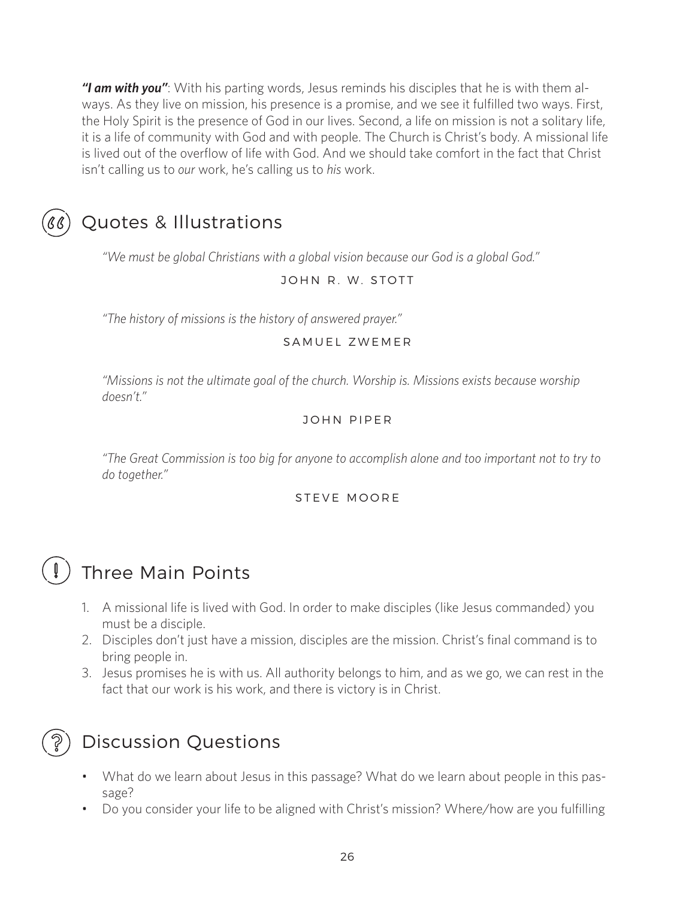*"I am with you"*: With his parting words, Jesus reminds his disciples that he is with them always. As they live on mission, his presence is a promise, and we see it fulfilled two ways. First, the Holy Spirit is the presence of God in our lives. Second, a life on mission is not a solitary life, it is a life of community with God and with people. The Church is Christ's body. A missional life is lived out of the overflow of life with God. And we should take comfort in the fact that Christ isn't calling us to *our* work, he's calling us to *his* work.



### Quotes & Illustrations

*"We must be global Christians with a global vision because our God is a global God."*

### JOHN R. W. STOTT

*"The history of missions is the history of answered prayer."*

#### SAMUEL ZWEMER

*"Missions is not the ultimate goal of the church. Worship is. Missions exists because worship doesn't."* 

### JOHN PIPER

*"The Great Commission is too big for anyone to accomplish alone and too important not to try to do together."*

#### STEVE MOORE

### Three Main Points

- 1. A missional life is lived with God. In order to make disciples (like Jesus commanded) you must be a disciple.
- 2. Disciples don't just have a mission, disciples are the mission. Christ's final command is to bring people in.
- 3. Jesus promises he is with us. All authority belongs to him, and as we go, we can rest in the fact that our work is his work, and there is victory is in Christ.



### Discussion Questions

- What do we learn about Jesus in this passage? What do we learn about people in this passage?
- Do you consider your life to be aligned with Christ's mission? Where/how are you fulfilling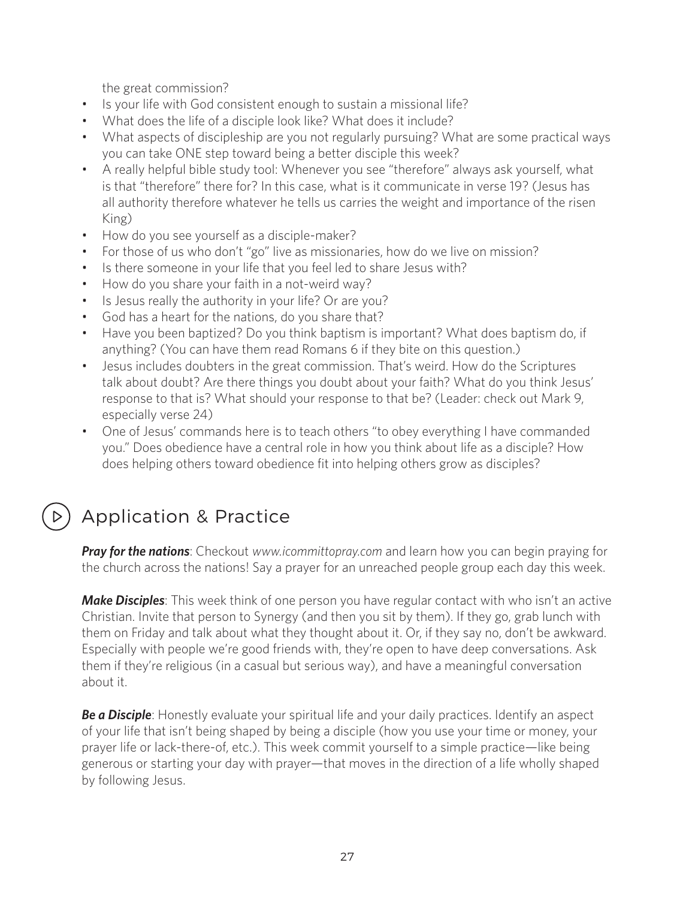the great commission?

- Is your life with God consistent enough to sustain a missional life?
- What does the life of a disciple look like? What does it include?
- What aspects of discipleship are you not regularly pursuing? What are some practical ways you can take ONE step toward being a better disciple this week?
- A really helpful bible study tool: Whenever you see "therefore" always ask yourself, what is that "therefore" there for? In this case, what is it communicate in verse 19? (Jesus has all authority therefore whatever he tells us carries the weight and importance of the risen King)
- How do you see yourself as a disciple-maker?
- For those of us who don't "go" live as missionaries, how do we live on mission?
- Is there someone in your life that you feel led to share Jesus with?
- How do you share your faith in a not-weird way?
- Is Jesus really the authority in your life? Or are you?
- God has a heart for the nations, do you share that?
- Have you been baptized? Do you think baptism is important? What does baptism do, if anything? (You can have them read Romans 6 if they bite on this question.)
- Jesus includes doubters in the great commission. That's weird. How do the Scriptures talk about doubt? Are there things you doubt about your faith? What do you think Jesus' response to that is? What should your response to that be? (Leader: check out Mark 9, especially verse 24)
- One of Jesus' commands here is to teach others "to obey everything I have commanded you." Does obedience have a central role in how you think about life as a disciple? How does helping others toward obedience fit into helping others grow as disciples?

## Application & Practice

*Pray for the nations*: Checkout *www.icommittopray.com* and learn how you can begin praying for the church across the nations! Say a prayer for an unreached people group each day this week.

*Make Disciples*: This week think of one person you have regular contact with who isn't an active Christian. Invite that person to Synergy (and then you sit by them). If they go, grab lunch with them on Friday and talk about what they thought about it. Or, if they say no, don't be awkward. Especially with people we're good friends with, they're open to have deep conversations. Ask them if they're religious (in a casual but serious way), and have a meaningful conversation about it.

**Be a Disciple**: Honestly evaluate your spiritual life and your daily practices. Identify an aspect of your life that isn't being shaped by being a disciple (how you use your time or money, your prayer life or lack-there-of, etc.). This week commit yourself to a simple practice—like being generous or starting your day with prayer—that moves in the direction of a life wholly shaped by following Jesus.